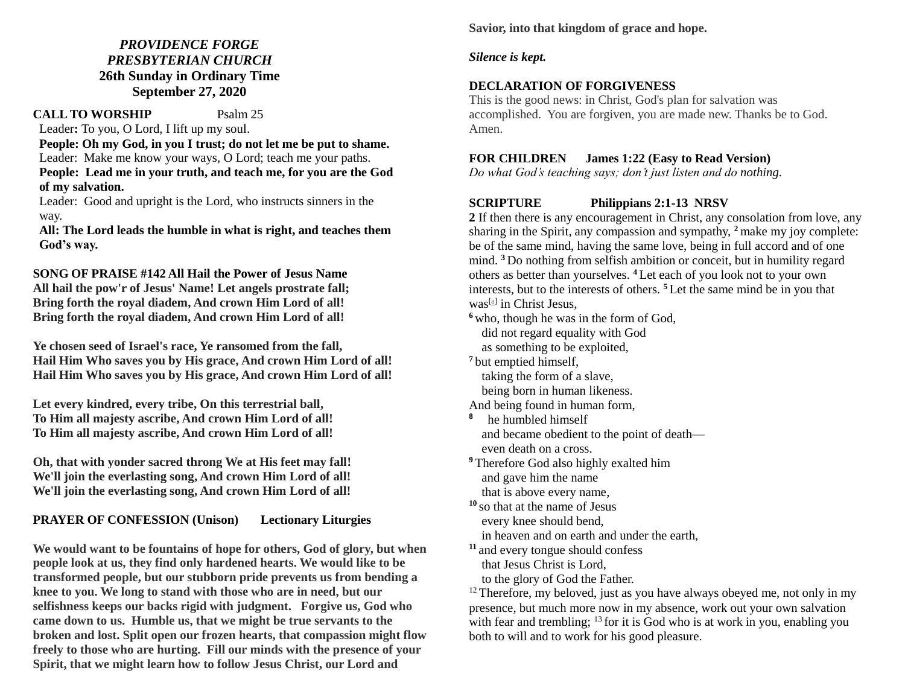# *PROVIDENCE FORGE PRESBYTERIAN CHURCH* **26th Sunday in Ordinary Time September 27, 2020**

## **CALL TO WORSHIP** Psalm 25

Leader**:** To you, O Lord, I lift up my soul.

 **People: Oh my God, in you I trust; do not let me be put to shame.** Leader: Make me know your ways, O Lord; teach me your paths.  **People: Lead me in your truth, and teach me, for you are the God of my salvation.**

Leader: Good and upright is the Lord, who instructs sinners in the way.

 **All: The Lord leads the humble in what is right, and teaches them God's way.**

**SONG OF PRAISE #142 All Hail the Power of Jesus Name All hail the pow'r of Jesus' Name! Let angels prostrate fall; Bring forth the royal diadem, And crown Him Lord of all! Bring forth the royal diadem, And crown Him Lord of all!**

**Ye chosen seed of Israel's race, Ye ransomed from the fall, Hail Him Who saves you by His grace, And crown Him Lord of all! Hail Him Who saves you by His grace, And crown Him Lord of all!**

**Let every kindred, every tribe, On this terrestrial ball, To Him all majesty ascribe, And crown Him Lord of all! To Him all majesty ascribe, And crown Him Lord of all!**

**Oh, that with yonder sacred throng We at His feet may fall! We'll join the everlasting song, And crown Him Lord of all! We'll join the everlasting song, And crown Him Lord of all!**

# **PRAYER OF CONFESSION (Unison) Lectionary Liturgies**

**We would want to be fountains of hope for others, God of glory, but when people look at us, they find only hardened hearts. We would like to be transformed people, but our stubborn pride prevents us from bending a knee to you. We long to stand with those who are in need, but our selfishness keeps our backs rigid with judgment. Forgive us, God who came down to us. Humble us, that we might be true servants to the broken and lost. Split open our frozen hearts, that compassion might flow freely to those who are hurting. Fill our minds with the presence of your Spirit, that we might learn how to follow Jesus Christ, our Lord and** 

**Savior, into that kingdom of grace and hope.**

## *Silence is kept.*

# **DECLARATION OF FORGIVENESS**

This is the good news: in Christ, God's plan for salvation was accomplished. You are forgiven, you are made new. Thanks be to God. Amen.

# **FOR CHILDREN James 1:22 (Easy to Read Version)**

*Do what God's teaching says; don't just listen and do nothing.*

# **SCRIPTURE Philippians 2:1-13 NRSV**

**2** If then there is any encouragement in Christ, any consolation from love, any sharing in the Spirit, any compassion and sympathy, **<sup>2</sup>** make my joy complete: be of the same mind, having the same love, being in full accord and of one mind. **<sup>3</sup>** Do nothing from selfish ambition or conceit, but in humility regard others as better than yourselves. **<sup>4</sup>** Let each of you look not to your own interests, but to the interests of others. **<sup>5</sup>** Let the same mind be in you that was[\[a\]](https://www.biblegateway.com/passage/?search=Philippians+2%3A1-13&version=NRSV#fen-NRSV-29380a) in Christ Jesus,

**<sup>6</sup>** who, though he was in the form of God, did not regard equality with God

as something to be exploited,

**<sup>7</sup>** but emptied himself, taking the form of a slave,

being born in human likeness.

And being found in human form,

- **8** he humbled himself and became obedient to the point of death even death on a cross.
- **<sup>9</sup>** Therefore God also highly exalted him and gave him the name that is above every name,

**<sup>10</sup>** so that at the name of Jesus every knee should bend, in heaven and on earth and under the earth,

**<sup>11</sup>** and every tongue should confess that Jesus Christ is Lord, to the glory of God the Father.

 $12$  Therefore, my beloved, just as you have always obeyed me, not only in my presence, but much more now in my absence, work out your own salvation with fear and trembling; <sup>13</sup> for it is God who is at work in you, enabling you both to will and to work for his good pleasure.